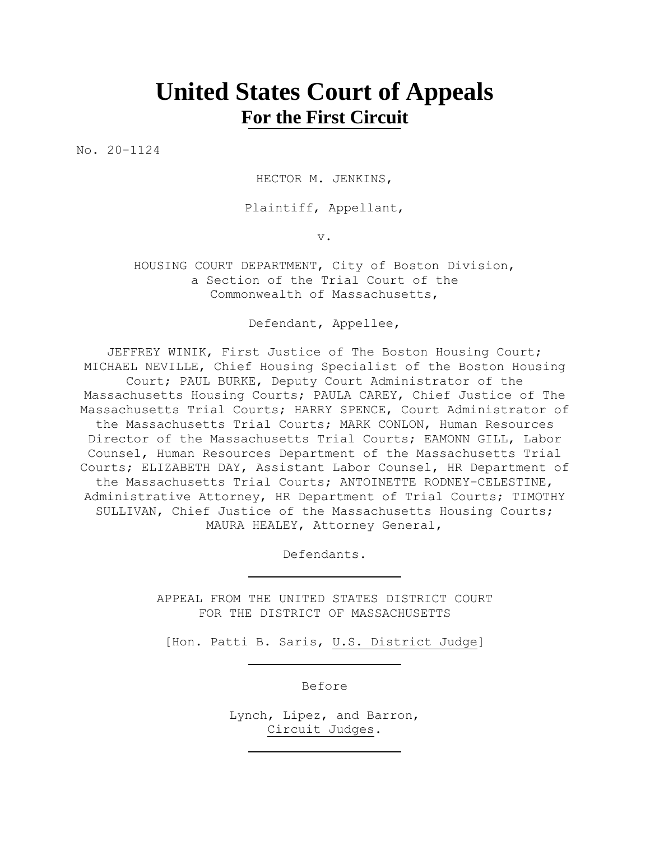## **United States Court of Appeals For the First Circuit**

No. 20-1124

HECTOR M. JENKINS,

Plaintiff, Appellant,

v.

HOUSING COURT DEPARTMENT, City of Boston Division, a Section of the Trial Court of the Commonwealth of Massachusetts,

Defendant, Appellee,

JEFFREY WINIK, First Justice of The Boston Housing Court; MICHAEL NEVILLE, Chief Housing Specialist of the Boston Housing Court; PAUL BURKE, Deputy Court Administrator of the Massachusetts Housing Courts; PAULA CAREY, Chief Justice of The Massachusetts Trial Courts; HARRY SPENCE, Court Administrator of the Massachusetts Trial Courts; MARK CONLON, Human Resources Director of the Massachusetts Trial Courts; EAMONN GILL, Labor Counsel, Human Resources Department of the Massachusetts Trial Courts; ELIZABETH DAY, Assistant Labor Counsel, HR Department of the Massachusetts Trial Courts; ANTOINETTE RODNEY-CELESTINE, Administrative Attorney, HR Department of Trial Courts; TIMOTHY SULLIVAN, Chief Justice of the Massachusetts Housing Courts; MAURA HEALEY, Attorney General,

Defendants.

APPEAL FROM THE UNITED STATES DISTRICT COURT FOR THE DISTRICT OF MASSACHUSETTS

[Hon. Patti B. Saris, U.S. District Judge]

Before

Lynch, Lipez, and Barron, Circuit Judges.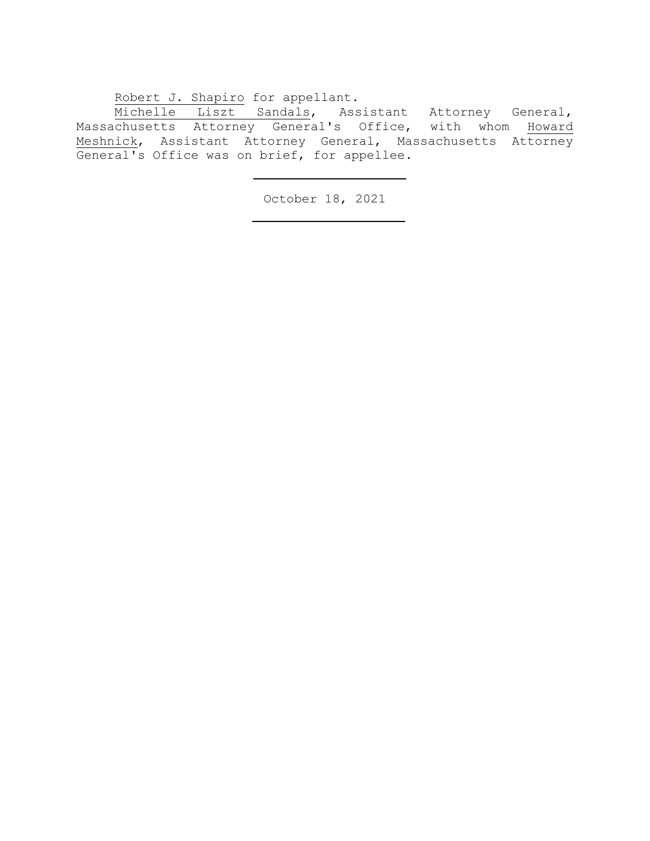Robert J. Shapiro for appellant.

Michelle Liszt Sandals, Assistant Attorney General, Massachusetts Attorney General's Office, with whom Howard Meshnick, Assistant Attorney General, Massachusetts Attorney General's Office was on brief, for appellee.

October 18, 2021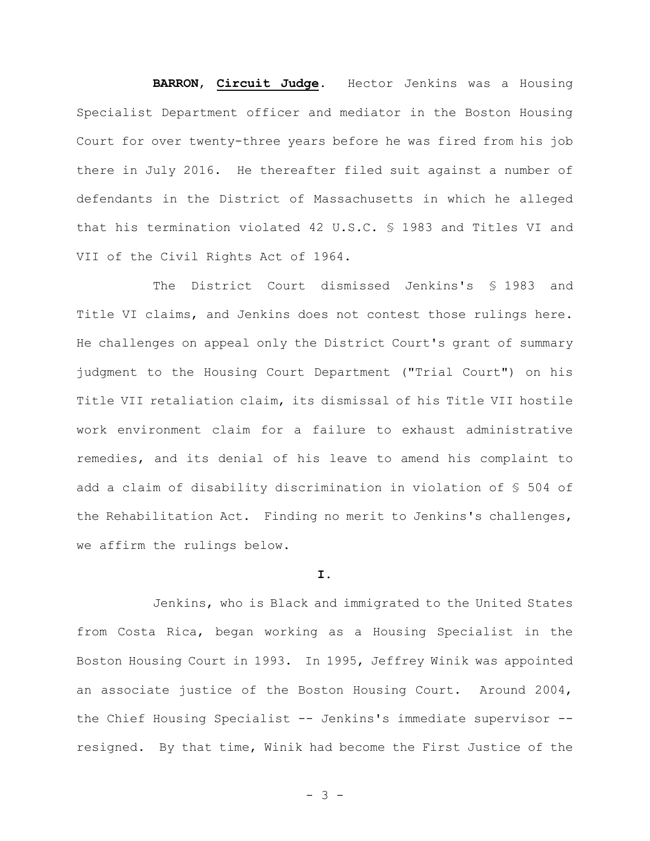## **BARRON**, **Circuit Judge**. Hector Jenkins was a Housing

Specialist Department officer and mediator in the Boston Housing Court for over twenty-three years before he was fired from his job there in July 2016. He thereafter filed suit against a number of defendants in the District of Massachusetts in which he alleged that his termination violated 42 U.S.C. § 1983 and Titles VI and VII of the Civil Rights Act of 1964.

The District Court dismissed Jenkins's § 1983 and Title VI claims, and Jenkins does not contest those rulings here. He challenges on appeal only the District Court's grant of summary judgment to the Housing Court Department ("Trial Court") on his Title VII retaliation claim, its dismissal of his Title VII hostile work environment claim for a failure to exhaust administrative remedies, and its denial of his leave to amend his complaint to add a claim of disability discrimination in violation of § 504 of the Rehabilitation Act. Finding no merit to Jenkins's challenges, we affirm the rulings below.

## **I.**

Jenkins, who is Black and immigrated to the United States from Costa Rica, began working as a Housing Specialist in the Boston Housing Court in 1993. In 1995, Jeffrey Winik was appointed an associate justice of the Boston Housing Court. Around 2004, the Chief Housing Specialist -- Jenkins's immediate supervisor - resigned. By that time, Winik had become the First Justice of the

- 3 -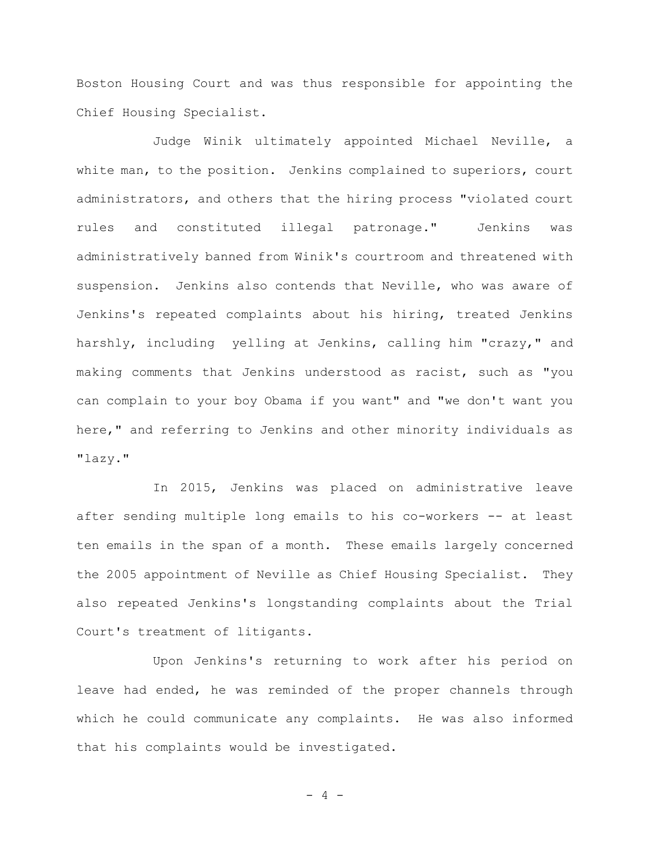Boston Housing Court and was thus responsible for appointing the Chief Housing Specialist.

Judge Winik ultimately appointed Michael Neville, a white man, to the position. Jenkins complained to superiors, court administrators, and others that the hiring process "violated court rules and constituted illegal patronage." Jenkins was administratively banned from Winik's courtroom and threatened with suspension. Jenkins also contends that Neville, who was aware of Jenkins's repeated complaints about his hiring, treated Jenkins harshly, including yelling at Jenkins, calling him "crazy," and making comments that Jenkins understood as racist, such as "you can complain to your boy Obama if you want" and "we don't want you here," and referring to Jenkins and other minority individuals as "lazy."

In 2015, Jenkins was placed on administrative leave after sending multiple long emails to his co-workers -- at least ten emails in the span of a month. These emails largely concerned the 2005 appointment of Neville as Chief Housing Specialist. They also repeated Jenkins's longstanding complaints about the Trial Court's treatment of litigants.

Upon Jenkins's returning to work after his period on leave had ended, he was reminded of the proper channels through which he could communicate any complaints. He was also informed that his complaints would be investigated.

 $- 4 -$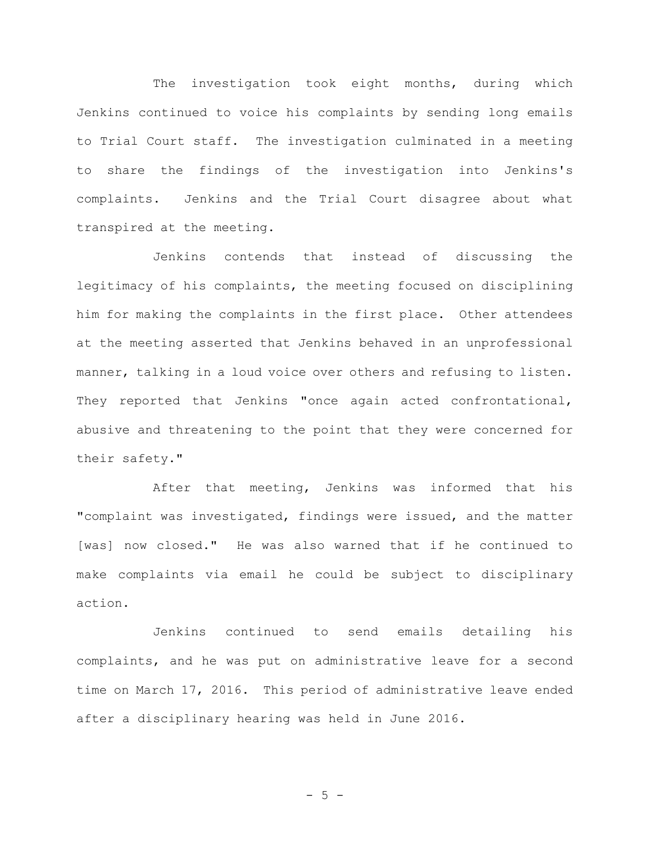The investigation took eight months, during which Jenkins continued to voice his complaints by sending long emails to Trial Court staff. The investigation culminated in a meeting to share the findings of the investigation into Jenkins's complaints. Jenkins and the Trial Court disagree about what transpired at the meeting.

Jenkins contends that instead of discussing the legitimacy of his complaints, the meeting focused on disciplining him for making the complaints in the first place. Other attendees at the meeting asserted that Jenkins behaved in an unprofessional manner, talking in a loud voice over others and refusing to listen. They reported that Jenkins "once again acted confrontational, abusive and threatening to the point that they were concerned for their safety."

After that meeting, Jenkins was informed that his "complaint was investigated, findings were issued, and the matter [was] now closed." He was also warned that if he continued to make complaints via email he could be subject to disciplinary action.

Jenkins continued to send emails detailing his complaints, and he was put on administrative leave for a second time on March 17, 2016.This period of administrative leave ended after a disciplinary hearing was held in June 2016.

$$
-5-
$$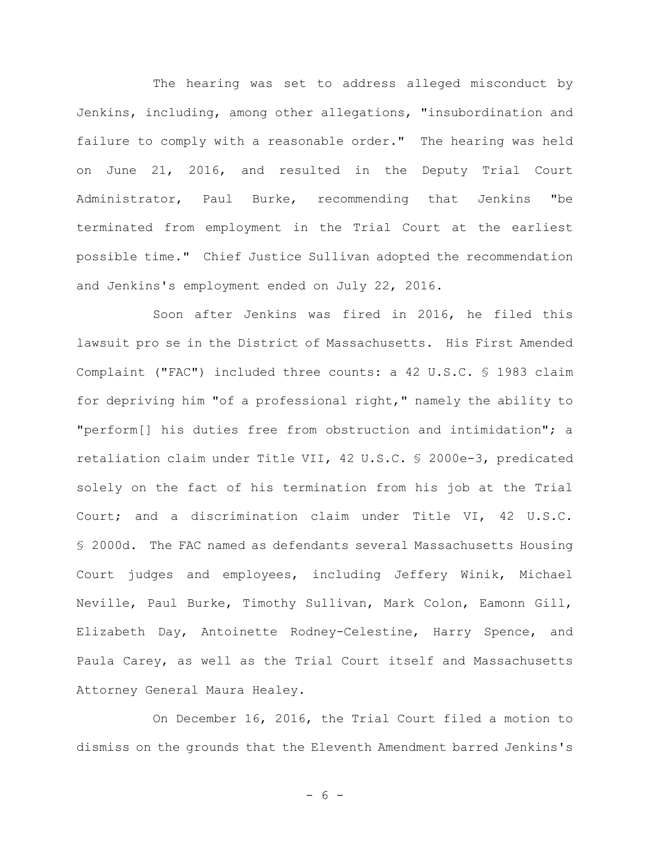The hearing was set to address alleged misconduct by Jenkins, including, among other allegations, "insubordination and failure to comply with a reasonable order." The hearing was held on June 21, 2016, and resulted in the Deputy Trial Court Administrator, Paul Burke, recommending that Jenkins "be terminated from employment in the Trial Court at the earliest possible time." Chief Justice Sullivan adopted the recommendation and Jenkins's employment ended on July 22, 2016.

Soon after Jenkins was fired in 2016, he filed this lawsuit pro se in the District of Massachusetts. His First Amended Complaint ("FAC") included three counts: a 42 U.S.C. § 1983 claim for depriving him "of a professional right," namely the ability to "perform[] his duties free from obstruction and intimidation"; a retaliation claim under Title VII, 42 U.S.C. § 2000e-3, predicated solely on the fact of his termination from his job at the Trial Court; and a discrimination claim under Title VI, 42 U.S.C. § 2000d. The FAC named as defendants several Massachusetts Housing Court judges and employees, including Jeffery Winik, Michael Neville, Paul Burke, Timothy Sullivan, Mark Colon, Eamonn Gill, Elizabeth Day, Antoinette Rodney-Celestine, Harry Spence, and Paula Carey, as well as the Trial Court itself and Massachusetts Attorney General Maura Healey.

On December 16, 2016, the Trial Court filed a motion to dismiss on the grounds that the Eleventh Amendment barred Jenkins's

- 6 -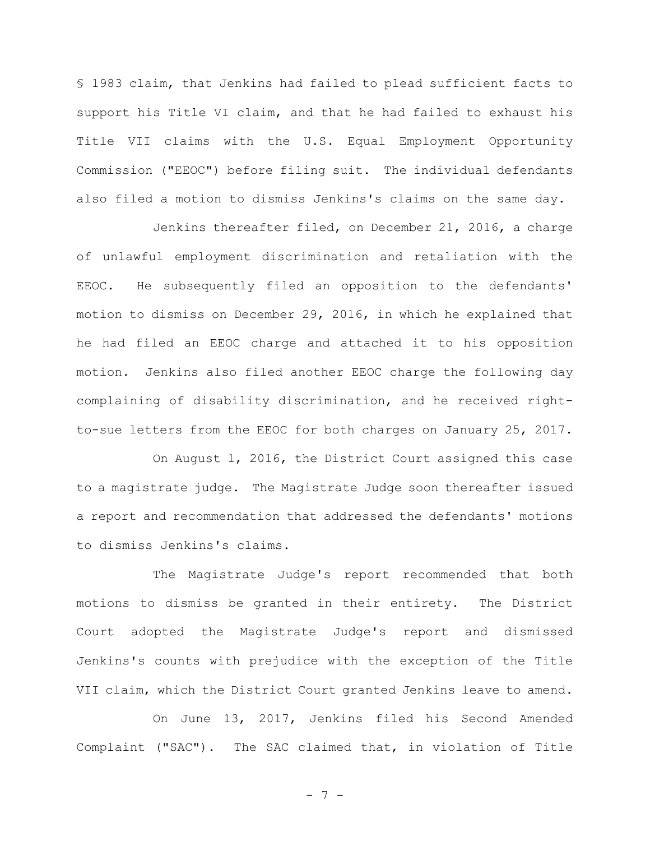§ 1983 claim, that Jenkins had failed to plead sufficient facts to support his Title VI claim, and that he had failed to exhaust his Title VII claims with the U.S. Equal Employment Opportunity Commission ("EEOC") before filing suit. The individual defendants also filed a motion to dismiss Jenkins's claims on the same day.

Jenkins thereafter filed, on December 21, 2016, a charge of unlawful employment discrimination and retaliation with the EEOC. He subsequently filed an opposition to the defendants' motion to dismiss on December 29, 2016, in which he explained that he had filed an EEOC charge and attached it to his opposition motion.Jenkins also filed another EEOC charge the following day complaining of disability discrimination, and he received rightto-sue letters from the EEOC for both charges on January 25, 2017.

On August 1, 2016, the District Court assigned this case to a magistrate judge. The Magistrate Judge soon thereafter issued a report and recommendation that addressed the defendants' motions to dismiss Jenkins's claims.

The Magistrate Judge's report recommended that both motions to dismiss be granted in their entirety. The District Court adopted the Magistrate Judge's report and dismissed Jenkins's counts with prejudice with the exception of the Title VII claim, which the District Court granted Jenkins leave to amend.

On June 13, 2017, Jenkins filed his Second Amended Complaint ("SAC").The SAC claimed that, in violation of Title

- 7 -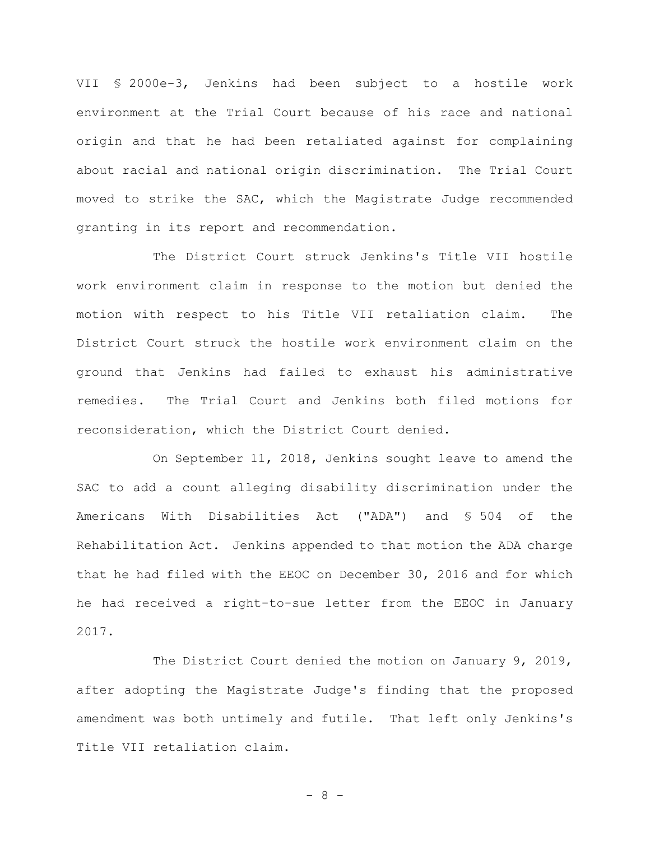VII § 2000e-3, Jenkins had been subject to a hostile work environment at the Trial Court because of his race and national origin and that he had been retaliated against for complaining about racial and national origin discrimination. The Trial Court moved to strike the SAC, which the Magistrate Judge recommended granting in its report and recommendation.

The District Court struck Jenkins's Title VII hostile work environment claim in response to the motion but denied the motion with respect to his Title VII retaliation claim. The District Court struck the hostile work environment claim on the ground that Jenkins had failed to exhaust his administrative remedies.The Trial Court and Jenkins both filed motions for reconsideration, which the District Court denied.

On September 11, 2018, Jenkins sought leave to amend the SAC to add a count alleging disability discrimination under the Americans With Disabilities Act ("ADA") and § 504 of the Rehabilitation Act. Jenkins appended to that motion the ADA charge that he had filed with the EEOC on December 30, 2016 and for which he had received a right-to-sue letter from the EEOC in January 2017.

The District Court denied the motion on January 9, 2019, after adopting the Magistrate Judge's finding that the proposed amendment was both untimely and futile. That left only Jenkins's Title VII retaliation claim.

- 8 -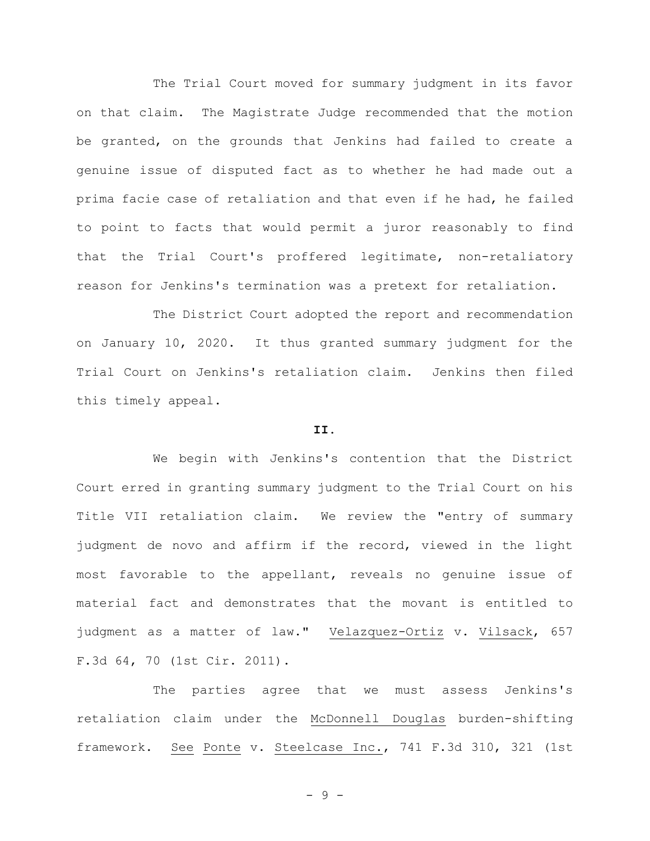The Trial Court moved for summary judgment in its favor on that claim. The Magistrate Judge recommended that the motion be granted, on the grounds that Jenkins had failed to create a genuine issue of disputed fact as to whether he had made out a prima facie case of retaliation and that even if he had, he failed to point to facts that would permit a juror reasonably to find that the Trial Court's proffered legitimate, non-retaliatory reason for Jenkins's termination was a pretext for retaliation.

The District Court adopted the report and recommendation on January 10, 2020. It thus granted summary judgment for the Trial Court on Jenkins's retaliation claim.Jenkins then filed this timely appeal.

## **II.**

We begin with Jenkins's contention that the District Court erred in granting summary judgment to the Trial Court on his Title VII retaliation claim. We review the "entry of summary judgment de novo and affirm if the record, viewed in the light most favorable to the appellant, reveals no genuine issue of material fact and demonstrates that the movant is entitled to judgment as a matter of law." Velazquez-Ortiz v. Vilsack, 657 F.3d 64, 70 (1st Cir. 2011).

The parties agree that we must assess Jenkins's retaliation claim under the McDonnell Douglas burden-shifting framework. See Ponte v. Steelcase Inc., 741 F.3d 310, 321 (1st

- 9 -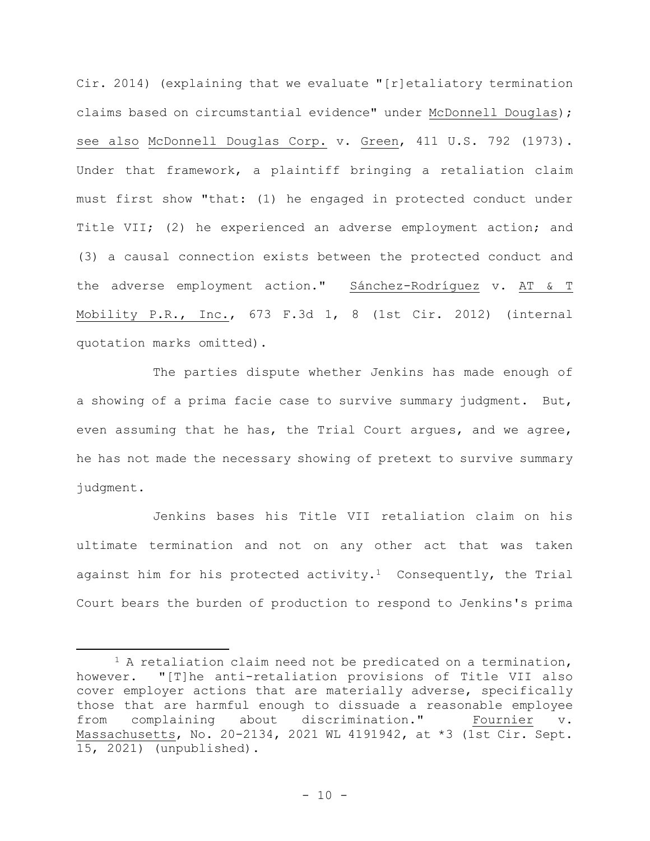Cir. 2014) (explaining that we evaluate "[r]etaliatory termination claims based on circumstantial evidence" under McDonnell Douglas); see also McDonnell Douglas Corp. v. Green, 411 U.S. 792 (1973). Under that framework, a plaintiff bringing a retaliation claim must first show "that: (1) he engaged in protected conduct under Title VII; (2) he experienced an adverse employment action; and (3) a causal connection exists between the protected conduct and the adverse employment action." Sánchez-Rodríguez v. AT & T Mobility P.R., Inc., 673 F.3d 1, 8 (1st Cir. 2012) (internal quotation marks omitted).

The parties dispute whether Jenkins has made enough of a showing of a prima facie case to survive summary judgment. But, even assuming that he has, the Trial Court argues, and we agree, he has not made the necessary showing of pretext to survive summary judgment.

Jenkins bases his Title VII retaliation claim on his ultimate termination and not on any other act that was taken against him for his protected activity.<sup>1</sup> Consequently, the Trial Court bears the burden of production to respond to Jenkins's prima

<sup>&</sup>lt;sup>1</sup> A retaliation claim need not be predicated on a termination, however. "[T]he anti-retaliation provisions of Title VII also cover employer actions that are materially adverse, specifically those that are harmful enough to dissuade a reasonable employee from complaining about discrimination." Fournier v. Massachusetts, No. 20-2134, 2021 WL 4191942, at \*3 (1st Cir. Sept. 15, 2021) (unpublished).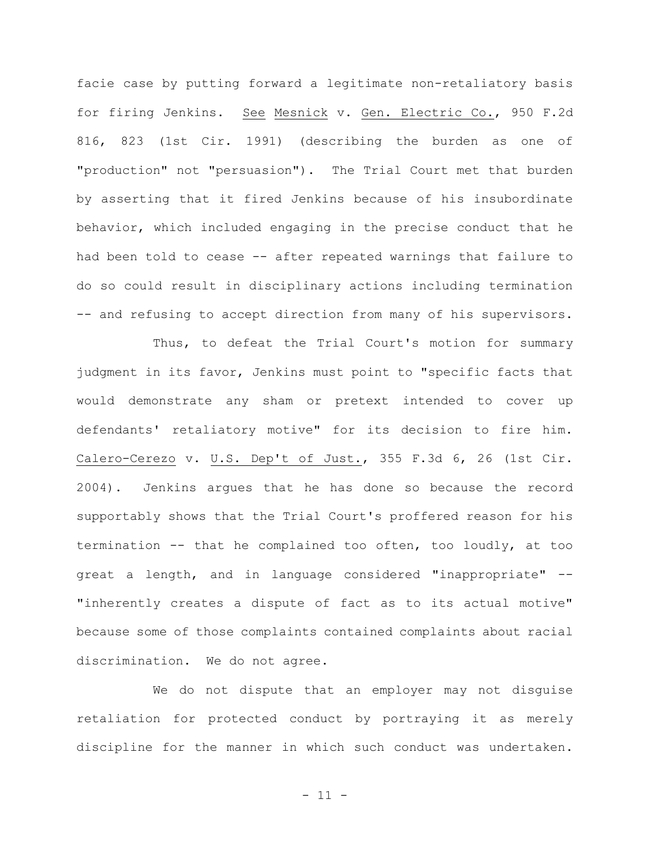facie case by putting forward a legitimate non-retaliatory basis for firing Jenkins. See Mesnick v. Gen. Electric Co., 950 F.2d 816, 823 (1st Cir. 1991) (describing the burden as one of "production" not "persuasion"). The Trial Court met that burden by asserting that it fired Jenkins because of his insubordinate behavior, which included engaging in the precise conduct that he had been told to cease -- after repeated warnings that failure to do so could result in disciplinary actions including termination -- and refusing to accept direction from many of his supervisors.

Thus, to defeat the Trial Court's motion for summary judgment in its favor, Jenkins must point to "specific facts that would demonstrate any sham or pretext intended to cover up defendants' retaliatory motive" for its decision to fire him. Calero-Cerezo v. U.S. Dep't of Just., 355 F.3d 6, 26 (1st Cir. 2004). Jenkins argues that he has done so because the record supportably shows that the Trial Court's proffered reason for his termination -- that he complained too often, too loudly, at too great a length, and in language considered "inappropriate" -- "inherently creates a dispute of fact as to its actual motive" because some of those complaints contained complaints about racial discrimination. We do not agree.

We do not dispute that an employer may not disguise retaliation for protected conduct by portraying it as merely discipline for the manner in which such conduct was undertaken.

- 11 -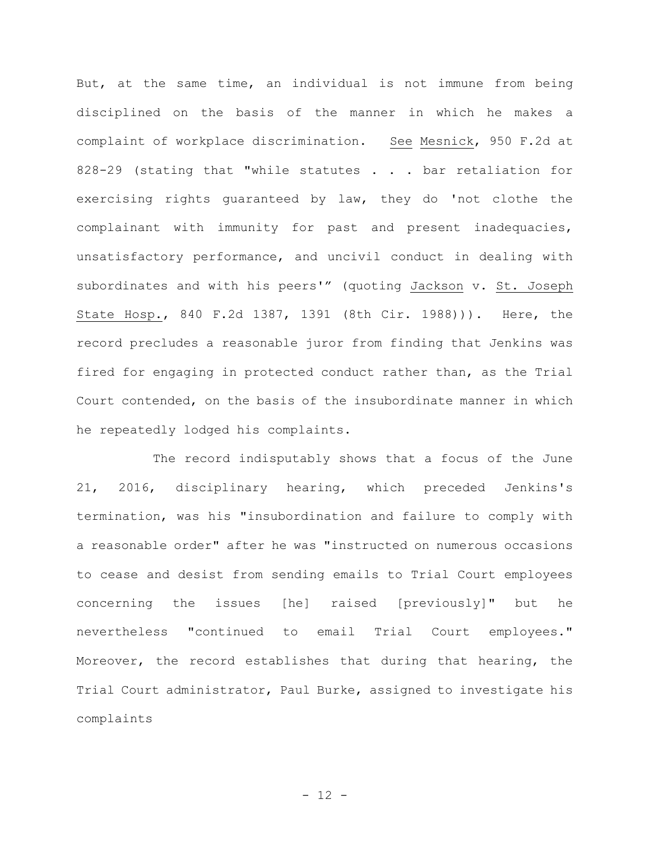But, at the same time, an individual is not immune from being disciplined on the basis of the manner in which he makes a complaint of workplace discrimination. See Mesnick, 950 F.2d at 828-29 (stating that "while statutes . . . bar retaliation for exercising rights guaranteed by law, they do 'not clothe the complainant with immunity for past and present inadequacies, unsatisfactory performance, and uncivil conduct in dealing with subordinates and with his peers'" (quoting Jackson v. St. Joseph State Hosp., 840 F.2d 1387, 1391 (8th Cir. 1988))). Here, the record precludes a reasonable juror from finding that Jenkins was fired for engaging in protected conduct rather than, as the Trial Court contended, on the basis of the insubordinate manner in which he repeatedly lodged his complaints.

The record indisputably shows that a focus of the June 21, 2016, disciplinary hearing, which preceded Jenkins's termination, was his "insubordination and failure to comply with a reasonable order" after he was "instructed on numerous occasions to cease and desist from sending emails to Trial Court employees concerning the issues [he] raised [previously]" but he nevertheless "continued to email Trial Court employees." Moreover, the record establishes that during that hearing, the Trial Court administrator, Paul Burke, assigned to investigate his complaints

- 12 -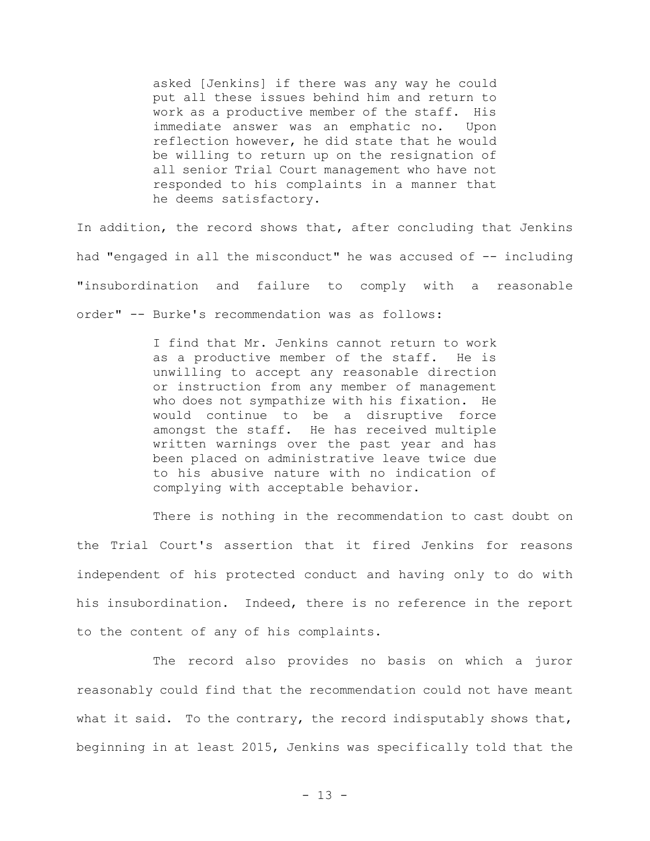asked [Jenkins] if there was any way he could put all these issues behind him and return to work as a productive member of the staff. His immediate answer was an emphatic no. Upon reflection however, he did state that he would be willing to return up on the resignation of all senior Trial Court management who have not responded to his complaints in a manner that he deems satisfactory.

In addition, the record shows that, after concluding that Jenkins had "engaged in all the misconduct" he was accused of -- including "insubordination and failure to comply with a reasonable order" -- Burke's recommendation was as follows:

> I find that Mr. Jenkins cannot return to work as a productive member of the staff. He is unwilling to accept any reasonable direction or instruction from any member of management who does not sympathize with his fixation. He would continue to be a disruptive force amongst the staff. He has received multiple written warnings over the past year and has been placed on administrative leave twice due to his abusive nature with no indication of complying with acceptable behavior.

There is nothing in the recommendation to cast doubt on the Trial Court's assertion that it fired Jenkins for reasons independent of his protected conduct and having only to do with his insubordination. Indeed, there is no reference in the report to the content of any of his complaints.

The record also provides no basis on which a juror reasonably could find that the recommendation could not have meant what it said. To the contrary, the record indisputably shows that, beginning in at least 2015, Jenkins was specifically told that the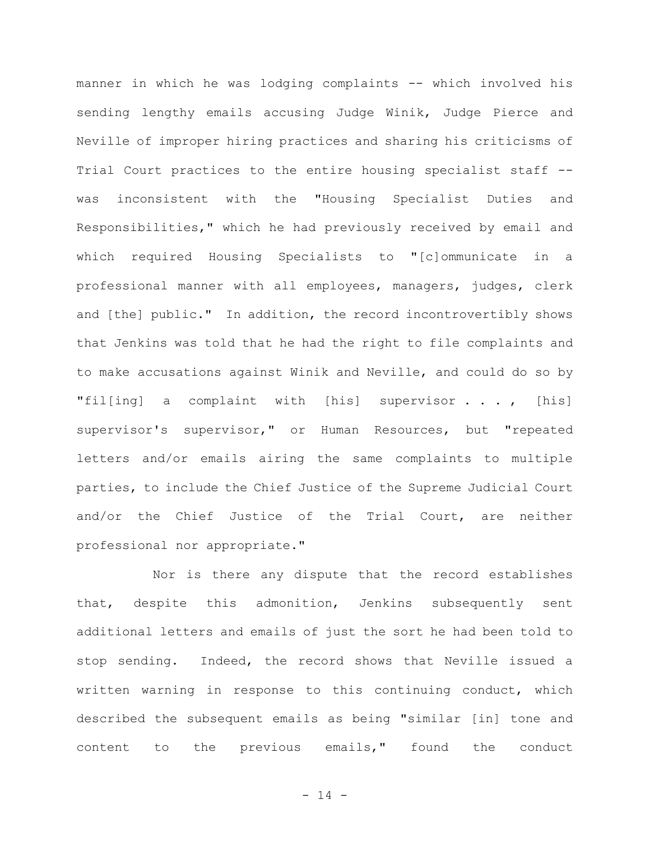manner in which he was lodging complaints -- which involved his sending lengthy emails accusing Judge Winik, Judge Pierce and Neville of improper hiring practices and sharing his criticisms of Trial Court practices to the entire housing specialist staff -was inconsistent with the "Housing Specialist Duties and Responsibilities," which he had previously received by email and which required Housing Specialists to "[c]ommunicate in a professional manner with all employees, managers, judges, clerk and [the] public." In addition, the record incontrovertibly shows that Jenkins was told that he had the right to file complaints and to make accusations against Winik and Neville, and could do so by "fil[ing] a complaint with [his] supervisor . . . , [his] supervisor's supervisor," or Human Resources, but "repeated letters and/or emails airing the same complaints to multiple parties, to include the Chief Justice of the Supreme Judicial Court and/or the Chief Justice of the Trial Court, are neither professional nor appropriate."

Nor is there any dispute that the record establishes that, despite this admonition, Jenkins subsequently sent additional letters and emails of just the sort he had been told to stop sending. Indeed, the record shows that Neville issued a written warning in response to this continuing conduct, which described the subsequent emails as being "similar [in] tone and content to the previous emails," found the conduct

- 14 -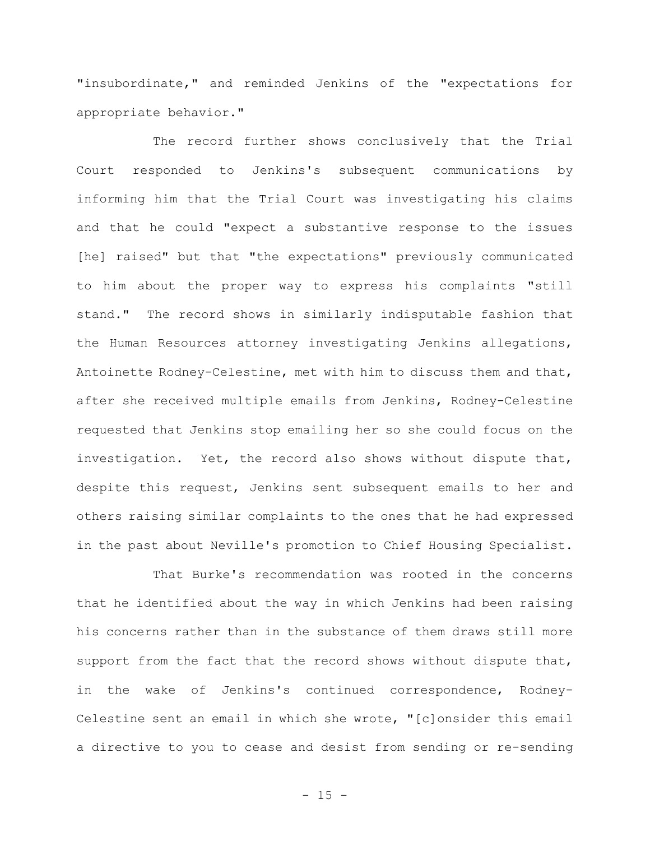"insubordinate," and reminded Jenkins of the "expectations for appropriate behavior."

The record further shows conclusively that the Trial Court responded to Jenkins's subsequent communications by informing him that the Trial Court was investigating his claims and that he could "expect a substantive response to the issues [he] raised" but that "the expectations" previously communicated to him about the proper way to express his complaints "still stand."The record shows in similarly indisputable fashion that the Human Resources attorney investigating Jenkins allegations, Antoinette Rodney-Celestine, met with him to discuss them and that, after she received multiple emails from Jenkins, Rodney-Celestine requested that Jenkins stop emailing her so she could focus on the investigation. Yet, the record also shows without dispute that, despite this request, Jenkins sent subsequent emails to her and others raising similar complaints to the ones that he had expressed in the past about Neville's promotion to Chief Housing Specialist.

That Burke's recommendation was rooted in the concerns that he identified about the way in which Jenkins had been raising his concerns rather than in the substance of them draws still more support from the fact that the record shows without dispute that, in the wake of Jenkins's continued correspondence, Rodney-Celestine sent an email in which she wrote, "[c]onsider this email a directive to you to cease and desist from sending or re-sending

 $- 15 -$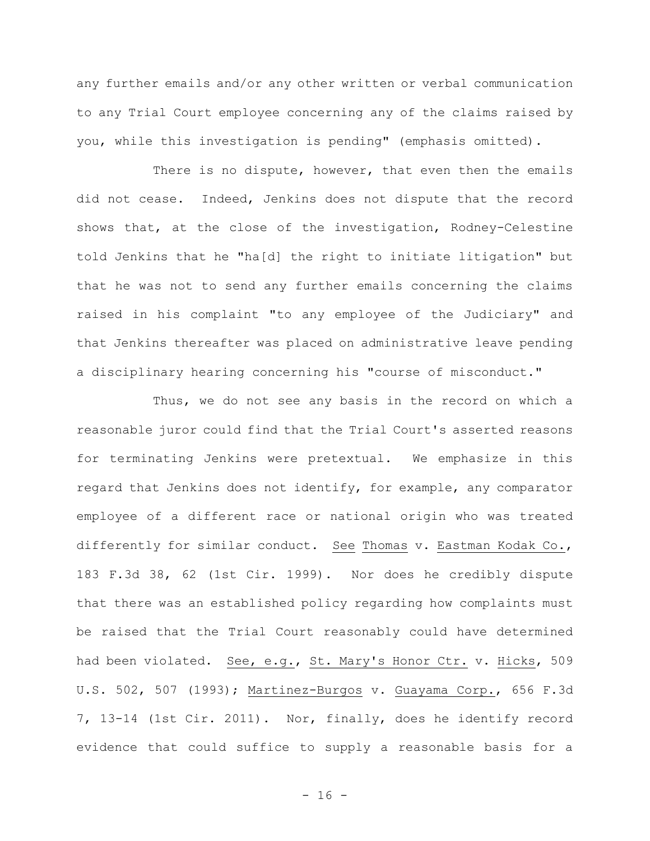any further emails and/or any other written or verbal communication to any Trial Court employee concerning any of the claims raised by you, while this investigation is pending" (emphasis omitted).

There is no dispute, however, that even then the emails did not cease. Indeed, Jenkins does not dispute that the record shows that, at the close of the investigation, Rodney-Celestine told Jenkins that he "ha[d] the right to initiate litigation" but that he was not to send any further emails concerning the claims raised in his complaint "to any employee of the Judiciary" and that Jenkins thereafter was placed on administrative leave pending a disciplinary hearing concerning his "course of misconduct."

Thus, we do not see any basis in the record on which a reasonable juror could find that the Trial Court's asserted reasons for terminating Jenkins were pretextual. We emphasize in this regard that Jenkins does not identify, for example, any comparator employee of a different race or national origin who was treated differently for similar conduct. See Thomas v. Eastman Kodak Co., 183 F.3d 38, 62 (1st Cir. 1999)**.** Nor does he credibly dispute that there was an established policy regarding how complaints must be raised that the Trial Court reasonably could have determined had been violated. See, e.g., St. Mary's Honor Ctr. v. Hicks, 509 U.S. 502, 507 (1993); Martinez-Burgos v. Guayama Corp., 656 F.3d 7, 13-14 (1st Cir. 2011). Nor, finally, does he identify record evidence that could suffice to supply a reasonable basis for a

 $- 16 -$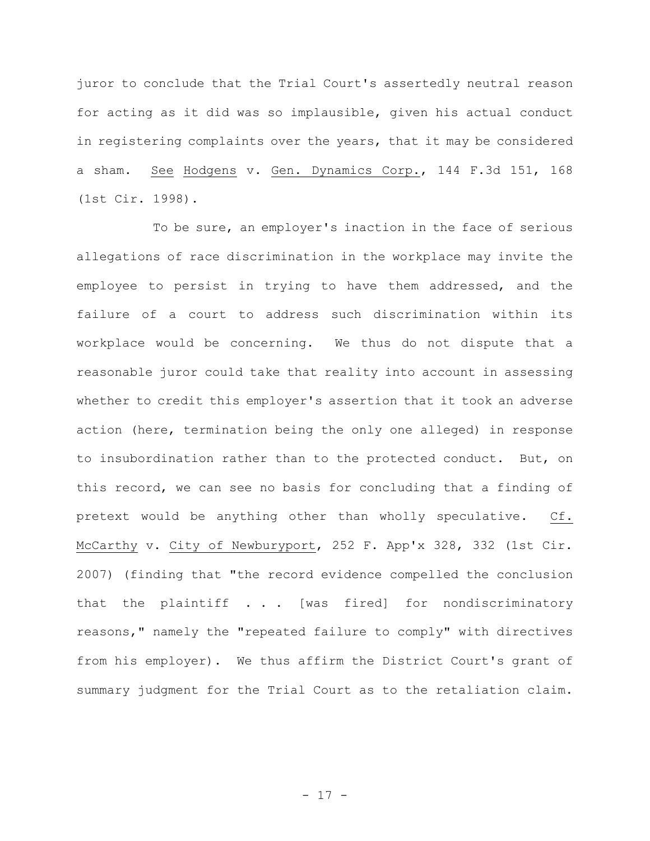juror to conclude that the Trial Court's assertedly neutral reason for acting as it did was so implausible, given his actual conduct in registering complaints over the years, that it may be considered a sham. See Hodgens v. Gen. Dynamics Corp., 144 F.3d 151, 168 (1st Cir. 1998)**.**

To be sure, an employer's inaction in the face of serious allegations of race discrimination in the workplace may invite the employee to persist in trying to have them addressed, and the failure of a court to address such discrimination within its workplace would be concerning. We thus do not dispute that a reasonable juror could take that reality into account in assessing whether to credit this employer's assertion that it took an adverse action (here, termination being the only one alleged) in response to insubordination rather than to the protected conduct. But, on this record, we can see no basis for concluding that a finding of pretext would be anything other than wholly speculative. Cf. McCarthy v. City of Newburyport, 252 F. App'x 328, 332 (1st Cir. 2007) (finding that "the record evidence compelled the conclusion that the plaintiff . . . [was fired] for nondiscriminatory reasons," namely the "repeated failure to comply" with directives from his employer). We thus affirm the District Court's grant of summary judgment for the Trial Court as to the retaliation claim.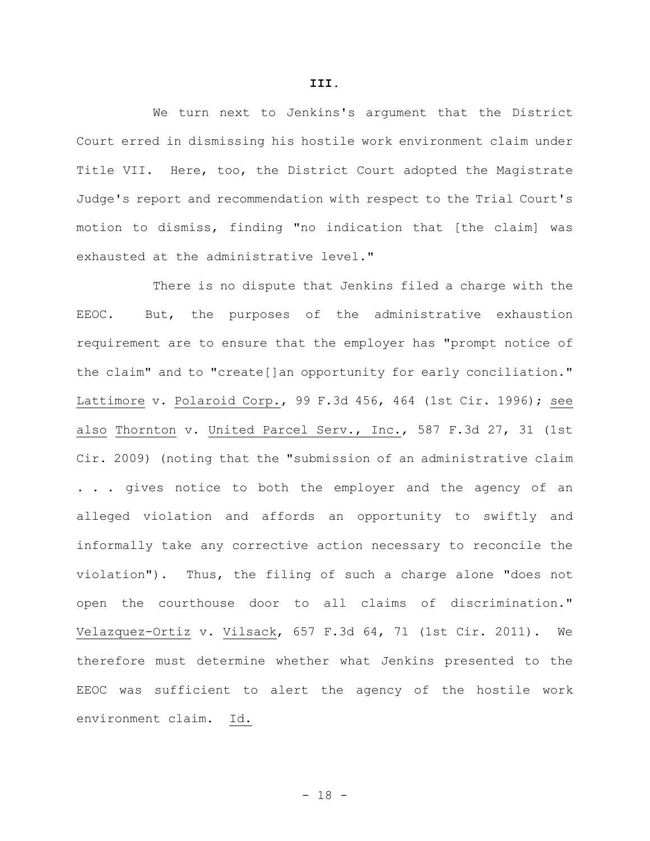We turn next to Jenkins's argument that the District Court erred in dismissing his hostile work environment claim under Title VII. Here, too, the District Court adopted the Magistrate Judge's report and recommendation with respect to the Trial Court's motion to dismiss, finding "no indication that [the claim] was exhausted at the administrative level."

There is no dispute that Jenkins filed a charge with the EEOC. But, the purposes of the administrative exhaustion requirement are to ensure that the employer has "prompt notice of the claim" and to "create[]an opportunity for early conciliation." Lattimore v. Polaroid Corp., 99 F.3d 456, 464 (1st Cir. 1996); see also Thornton v. United Parcel Serv., Inc., 587 F.3d 27, 31 (1st Cir. 2009) (noting that the "submission of an administrative claim . . . gives notice to both the employer and the agency of an alleged violation and affords an opportunity to swiftly and informally take any corrective action necessary to reconcile the violation"). Thus, the filing of such a charge alone "does not open the courthouse door to all claims of discrimination." Velazquez-Ortiz v. Vilsack, 657 F.3d 64, 71 (1st Cir. 2011). We therefore must determine whether what Jenkins presented to the EEOC was sufficient to alert the agency of the hostile work environment claim. Id.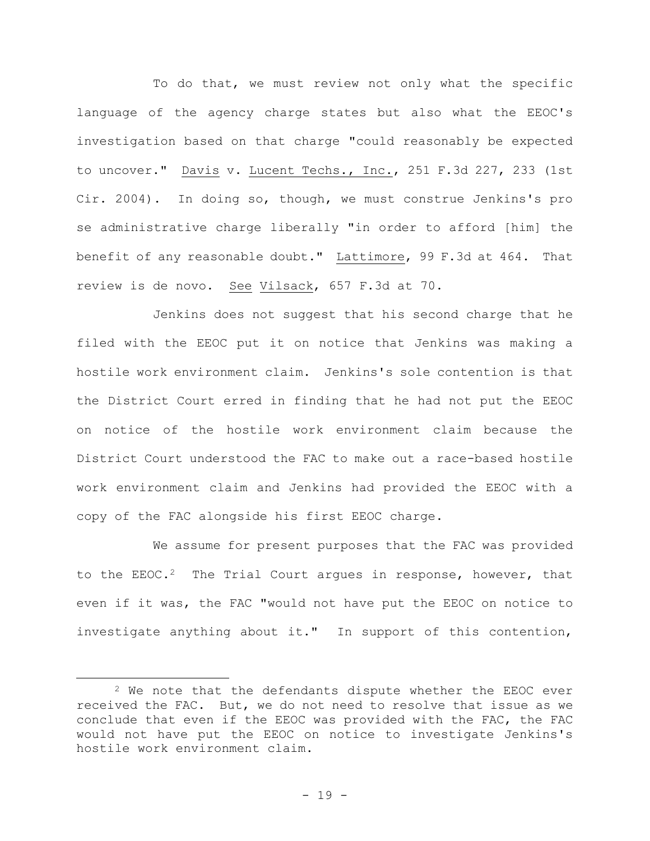To do that, we must review not only what the specific language of the agency charge states but also what the EEOC's investigation based on that charge "could reasonably be expected to uncover." Davis v. Lucent Techs., Inc., 251 F.3d 227, 233 (1st Cir. 2004). In doing so, though, we must construe Jenkins's pro se administrative charge liberally "in order to afford [him] the benefit of any reasonable doubt." Lattimore, 99 F.3d at 464. That review is de novo. See Vilsack, 657 F.3d at 70.

Jenkins does not suggest that his second charge that he filed with the EEOC put it on notice that Jenkins was making a hostile work environment claim. Jenkins's sole contention is that the District Court erred in finding that he had not put the EEOC on notice of the hostile work environment claim because the District Court understood the FAC to make out a race-based hostile work environment claim and Jenkins had provided the EEOC with a copy of the FAC alongside his first EEOC charge.

We assume for present purposes that the FAC was provided to the  $EEOC.2$  The Trial Court argues in response, however, that even if it was, the FAC "would not have put the EEOC on notice to investigate anything about it." In support of this contention,

<sup>2</sup> We note that the defendants dispute whether the EEOC ever received the FAC. But, we do not need to resolve that issue as we conclude that even if the EEOC was provided with the FAC, the FAC would not have put the EEOC on notice to investigate Jenkins's hostile work environment claim.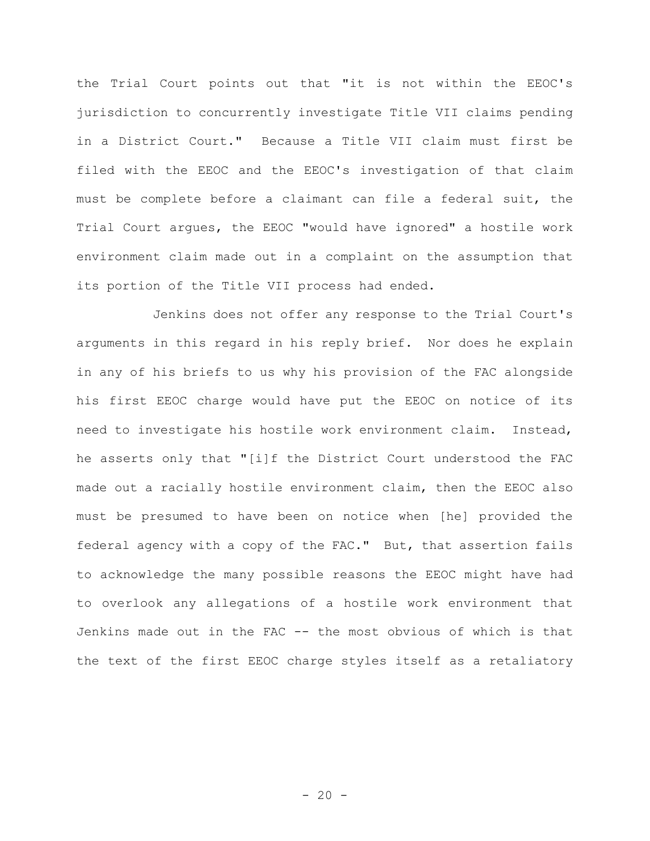the Trial Court points out that "it is not within the EEOC's jurisdiction to concurrently investigate Title VII claims pending in a District Court." Because a Title VII claim must first be filed with the EEOC and the EEOC's investigation of that claim must be complete before a claimant can file a federal suit, the Trial Court argues, the EEOC "would have ignored" a hostile work environment claim made out in a complaint on the assumption that its portion of the Title VII process had ended.

Jenkins does not offer any response to the Trial Court's arguments in this regard in his reply brief. Nor does he explain in any of his briefs to us why his provision of the FAC alongside his first EEOC charge would have put the EEOC on notice of its need to investigate his hostile work environment claim. Instead, he asserts only that "[i]f the District Court understood the FAC made out a racially hostile environment claim, then the EEOC also must be presumed to have been on notice when [he] provided the federal agency with a copy of the FAC." But, that assertion fails to acknowledge the many possible reasons the EEOC might have had to overlook any allegations of a hostile work environment that Jenkins made out in the FAC -- the most obvious of which is that the text of the first EEOC charge styles itself as a retaliatory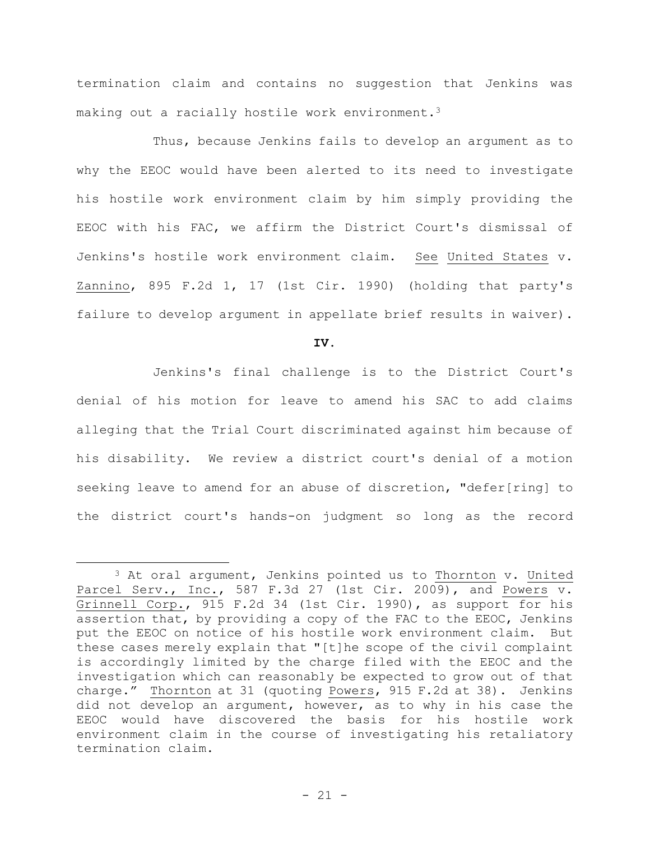termination claim and contains no suggestion that Jenkins was making out a racially hostile work environment.<sup>3</sup>

Thus, because Jenkins fails to develop an argument as to why the EEOC would have been alerted to its need to investigate his hostile work environment claim by him simply providing the EEOC with his FAC, we affirm the District Court's dismissal of Jenkins's hostile work environment claim. See United States v. Zannino, 895 F.2d 1, 17 (1st Cir. 1990) (holding that party's failure to develop argument in appellate brief results in waiver).

**IV.**

Jenkins's final challenge is to the District Court's denial of his motion for leave to amend his SAC to add claims alleging that the Trial Court discriminated against him because of his disability. We review a district court's denial of a motion seeking leave to amend for an abuse of discretion, "defer[ring] to the district court's hands-on judgment so long as the record

 $3$  At oral argument, Jenkins pointed us to Thornton v. United Parcel Serv., Inc., 587 F.3d 27 (1st Cir. 2009), and Powers v. Grinnell Corp., 915 F.2d 34 (1st Cir. 1990), as support for his assertion that, by providing a copy of the FAC to the EEOC, Jenkins put the EEOC on notice of his hostile work environment claim. But these cases merely explain that "[t]he scope of the civil complaint is accordingly limited by the charge filed with the EEOC and the investigation which can reasonably be expected to grow out of that charge." Thornton at 31 (quoting Powers, 915 F.2d at 38). Jenkins did not develop an argument, however, as to why in his case the EEOC would have discovered the basis for his hostile work environment claim in the course of investigating his retaliatory termination claim.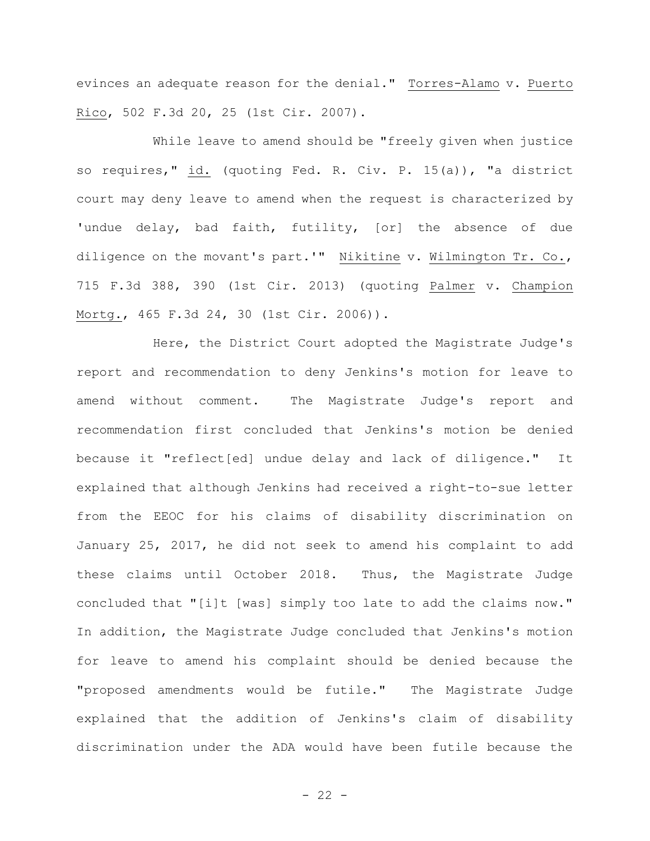evinces an adequate reason for the denial." Torres-Alamo v. Puerto Rico, 502 F.3d 20, 25 (1st Cir. 2007).

While leave to amend should be "freely given when justice so requires," id. (quoting Fed. R. Civ. P. 15(a)), "a district court may deny leave to amend when the request is characterized by 'undue delay, bad faith, futility, [or] the absence of due diligence on the movant's part.'" Nikitine v. Wilmington Tr. Co., 715 F.3d 388, 390 (1st Cir. 2013) (quoting Palmer v. Champion Mortg., 465 F.3d 24, 30 (1st Cir. 2006)).

Here, the District Court adopted the Magistrate Judge's report and recommendation to deny Jenkins's motion for leave to amend without comment. The Magistrate Judge's report and recommendation first concluded that Jenkins's motion be denied because it "reflect[ed] undue delay and lack of diligence." It explained that although Jenkins had received a right-to-sue letter from the EEOC for his claims of disability discrimination on January 25, 2017, he did not seek to amend his complaint to add these claims until October 2018. Thus, the Magistrate Judge concluded that "[i]t [was] simply too late to add the claims now." In addition, the Magistrate Judge concluded that Jenkins's motion for leave to amend his complaint should be denied because the "proposed amendments would be futile." The Magistrate Judge explained that the addition of Jenkins's claim of disability discrimination under the ADA would have been futile because the

 $- 22 -$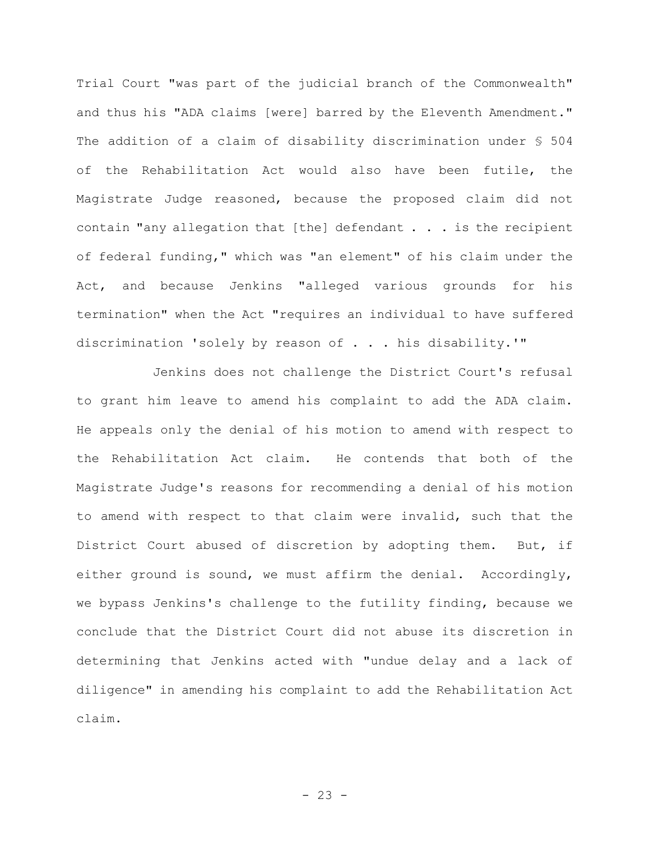Trial Court "was part of the judicial branch of the Commonwealth" and thus his "ADA claims [were] barred by the Eleventh Amendment." The addition of a claim of disability discrimination under § 504 of the Rehabilitation Act would also have been futile, the Magistrate Judge reasoned, because the proposed claim did not contain "any allegation that [the] defendant . . . is the recipient of federal funding," which was "an element" of his claim under the Act, and because Jenkins "alleged various grounds for his termination" when the Act "requires an individual to have suffered discrimination 'solely by reason of . . . his disability.'"

Jenkins does not challenge the District Court's refusal to grant him leave to amend his complaint to add the ADA claim. He appeals only the denial of his motion to amend with respect to the Rehabilitation Act claim. He contends that both of the Magistrate Judge's reasons for recommending a denial of his motion to amend with respect to that claim were invalid, such that the District Court abused of discretion by adopting them. But, if either ground is sound, we must affirm the denial. Accordingly, we bypass Jenkins's challenge to the futility finding, because we conclude that the District Court did not abuse its discretion in determining that Jenkins acted with "undue delay and a lack of diligence" in amending his complaint to add the Rehabilitation Act claim.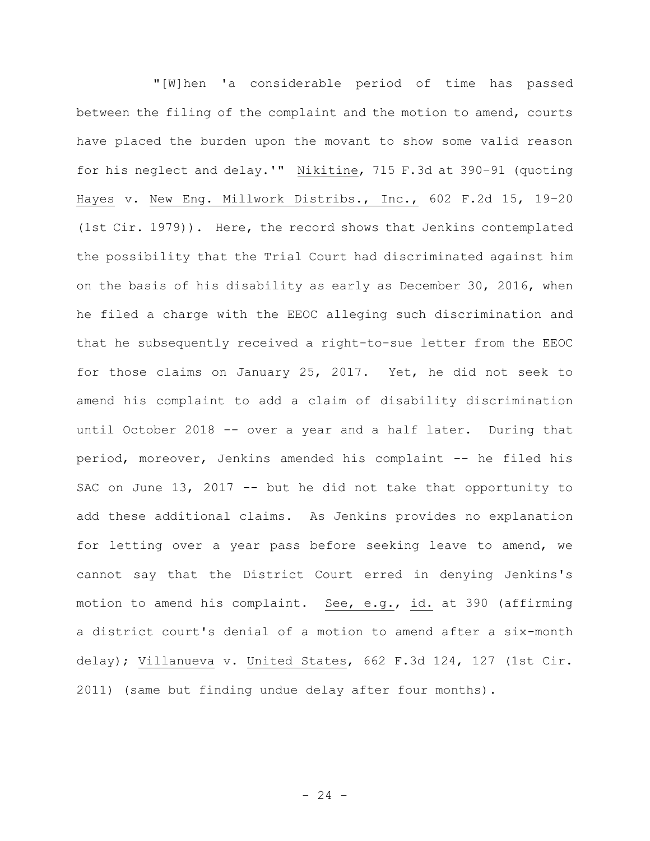"[W]hen 'a considerable period of time has passed between the filing of the complaint and the motion to amend, courts have placed the burden upon the movant to show some valid reason for his neglect and delay.'" Nikitine, 715 F.3d at 390–91 (quoting Hayes v. New Eng. Millwork Distribs., Inc., 602 F.2d 15, 19–20 (1st Cir. 1979)). Here, the record shows that Jenkins contemplated the possibility that the Trial Court had discriminated against him on the basis of his disability as early as December 30, 2016, when he filed a charge with the EEOC alleging such discrimination and that he subsequently received a right-to-sue letter from the EEOC for those claims on January 25, 2017. Yet, he did not seek to amend his complaint to add a claim of disability discrimination until October 2018 -- over a year and a half later. During that period, moreover, Jenkins amended his complaint -- he filed his SAC on June 13, 2017 -- but he did not take that opportunity to add these additional claims. As Jenkins provides no explanation for letting over a year pass before seeking leave to amend, we cannot say that the District Court erred in denying Jenkins's motion to amend his complaint. See, e.g., id. at 390 (affirming a district court's denial of a motion to amend after a six-month delay); Villanueva v. United States, 662 F.3d 124, 127 (1st Cir. 2011) (same but finding undue delay after four months).